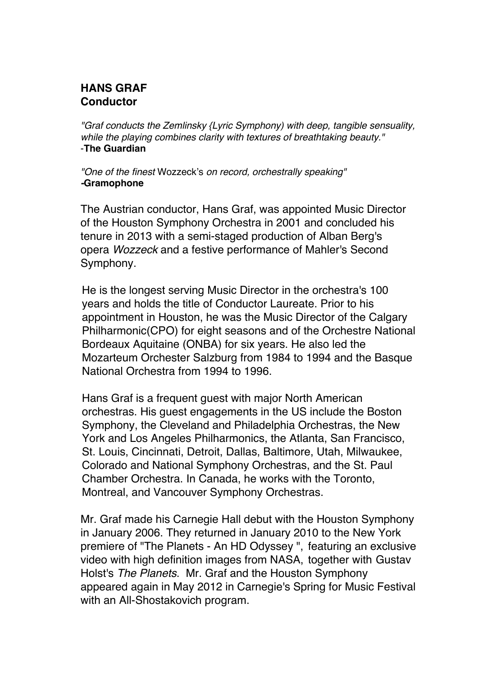## **HANS GRAF Conductor**

*"Graf conducts the Zemlinsky {Lyric Symphony) with deep, tangible sensuality, while the playing combines clarity with textures of breathtaking beauty."* -**The Guardian**

*"One of the finest* Wozzeck's *on record, orchestrally speaking" -***Gramophone**

The Austrian conductor, Hans Graf, was appointed Music Director of the Houston Symphony Orchestra in 2001 and concluded his tenure in 2013 with a semi-staged production of Alban Berg's opera *Wozzeck* and a festive performance of Mahler's Second Symphony.

He is the longest serving Music Director in the orchestra's 100 years and holds the title of Conductor Laureate. Prior to his appointment in Houston, he was the Music Director of the Calgary Philharmonic(CPO) for eight seasons and of the Orchestre National Bordeaux Aquitaine (ONBA) for six years. He also led the Mozarteum Orchester Salzburg from 1984 to 1994 and the Basque National Orchestra from 1994 to 1996.

Hans Graf is a frequent guest with major North American orchestras. His guest engagements in the US include the Boston Symphony, the Cleveland and Philadelphia Orchestras, the New York and Los Angeles Philharmonics, the Atlanta, San Francisco, St. Louis, Cincinnati, Detroit, Dallas, Baltimore, Utah, Milwaukee, Colorado and National Symphony Orchestras, and the St. Paul Chamber Orchestra. In Canada, he works with the Toronto, Montreal, and Vancouver Symphony Orchestras.

Mr. Graf made his Carnegie Hall debut with the Houston Symphony in January 2006. They returned in January 2010 to the New York premiere of "The Planets - An HD Odyssey ", featuring an exclusive video with high definition images from NASA, together with Gustav Holst's *The Planets*. Mr. Graf and the Houston Symphony appeared again in May 2012 in Carnegie's Spring for Music Festival with an All-Shostakovich program.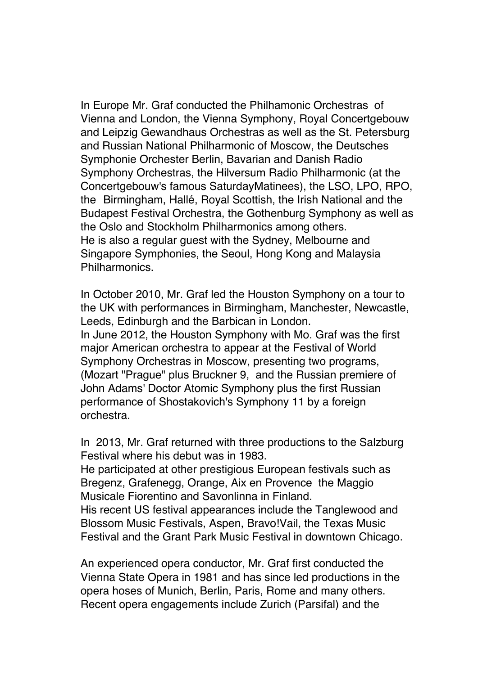In Europe Mr. Graf conducted the Philhamonic Orchestras of Vienna and London, the Vienna Symphony, Royal Concertgebouw and Leipzig Gewandhaus Orchestras as well as the St. Petersburg and Russian National Philharmonic of Moscow, the Deutsches Symphonie Orchester Berlin, Bavarian and Danish Radio Symphony Orchestras, the Hilversum Radio Philharmonic (at the Concertgebouw's famous SaturdayMatinees), the LSO, LPO, RPO, the Birmingham, Hallé, Royal Scottish, the Irish National and the Budapest Festival Orchestra, the Gothenburg Symphony as well as the Oslo and Stockholm Philharmonics among others. He is also a regular guest with the Sydney, Melbourne and Singapore Symphonies, the Seoul, Hong Kong and Malaysia Philharmonics.

In October 2010, Mr. Graf led the Houston Symphony on a tour to the UK with performances in Birmingham, Manchester, Newcastle, Leeds, Edinburgh and the Barbican in London. In June 2012, the Houston Symphony with Mo. Graf was the first major American orchestra to appear at the Festival of World Symphony Orchestras in Moscow, presenting two programs, (Mozart "Prague" plus Bruckner 9, and the Russian premiere of John Adams' Doctor Atomic Symphony plus the first Russian performance of Shostakovich's Symphony 11 by a foreign orchestra.

In 2013, Mr. Graf returned with three productions to the Salzburg Festival where his debut was in 1983.

He participated at other prestigious European festivals such as Bregenz, Grafenegg, Orange, Aix en Provence the Maggio Musicale Fiorentino and Savonlinna in Finland.

His recent US festival appearances include the Tanglewood and Blossom Music Festivals, Aspen, Bravo!Vail, the Texas Music Festival and the Grant Park Music Festival in downtown Chicago.

An experienced opera conductor, Mr. Graf first conducted the Vienna State Opera in 1981 and has since led productions in the opera hoses of Munich, Berlin, Paris, Rome and many others. Recent opera engagements include Zurich (Parsifal) and the